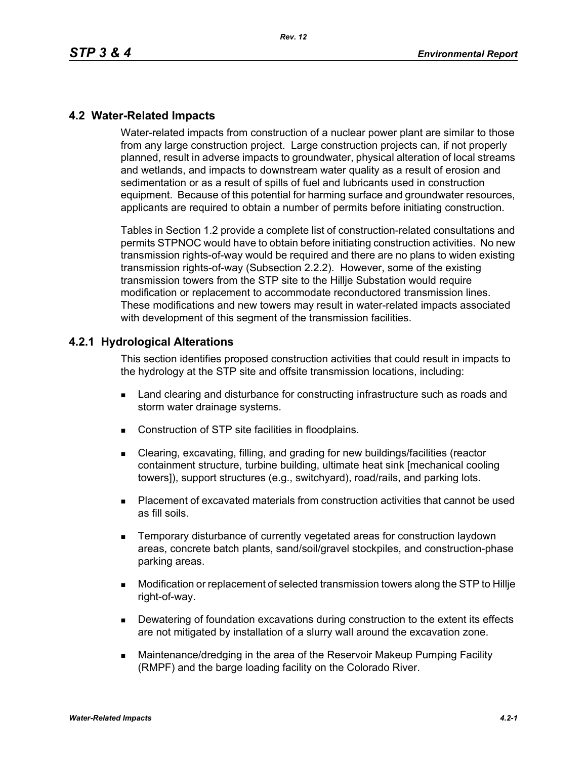### **4.2 Water-Related Impacts**

Water-related impacts from construction of a nuclear power plant are similar to those from any large construction project. Large construction projects can, if not properly planned, result in adverse impacts to groundwater, physical alteration of local streams and wetlands, and impacts to downstream water quality as a result of erosion and sedimentation or as a result of spills of fuel and lubricants used in construction equipment. Because of this potential for harming surface and groundwater resources, applicants are required to obtain a number of permits before initiating construction.

Tables in Section 1.2 provide a complete list of construction-related consultations and permits STPNOC would have to obtain before initiating construction activities. No new transmission rights-of-way would be required and there are no plans to widen existing transmission rights-of-way (Subsection 2.2.2). However, some of the existing transmission towers from the STP site to the Hillje Substation would require modification or replacement to accommodate reconductored transmission lines. These modifications and new towers may result in water-related impacts associated with development of this segment of the transmission facilities.

### **4.2.1 Hydrological Alterations**

This section identifies proposed construction activities that could result in impacts to the hydrology at the STP site and offsite transmission locations, including:

- **EXEC** Land clearing and disturbance for constructing infrastructure such as roads and storm water drainage systems.
- Construction of STP site facilities in floodplains.
- Clearing, excavating, filling, and grading for new buildings/facilities (reactor containment structure, turbine building, ultimate heat sink [mechanical cooling towers]), support structures (e.g., switchyard), road/rails, and parking lots.
- Placement of excavated materials from construction activities that cannot be used as fill soils.
- **EXECTE TEMPORARY DISTINGUION CONSTRANGED META** TEMPORATION IS THE MOVING THE TEMPORARY TEMPORANGED **TEMPORAGHLY** areas, concrete batch plants, sand/soil/gravel stockpiles, and construction-phase parking areas.
- Modification or replacement of selected transmission towers along the STP to Hillje right-of-way.
- **Dewatering of foundation excavations during construction to the extent its effects** are not mitigated by installation of a slurry wall around the excavation zone.
- Maintenance/dredging in the area of the Reservoir Makeup Pumping Facility (RMPF) and the barge loading facility on the Colorado River.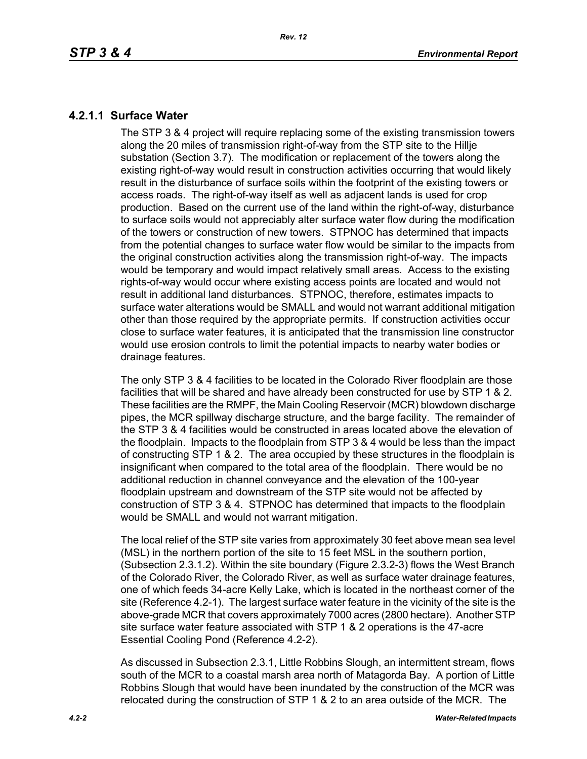## **4.2.1.1 Surface Water**

The STP 3 & 4 project will require replacing some of the existing transmission towers along the 20 miles of transmission right-of-way from the STP site to the Hillje substation (Section 3.7). The modification or replacement of the towers along the existing right-of-way would result in construction activities occurring that would likely result in the disturbance of surface soils within the footprint of the existing towers or access roads. The right-of-way itself as well as adjacent lands is used for crop production. Based on the current use of the land within the right-of-way, disturbance to surface soils would not appreciably alter surface water flow during the modification of the towers or construction of new towers. STPNOC has determined that impacts from the potential changes to surface water flow would be similar to the impacts from the original construction activities along the transmission right-of-way. The impacts would be temporary and would impact relatively small areas. Access to the existing rights-of-way would occur where existing access points are located and would not result in additional land disturbances. STPNOC, therefore, estimates impacts to surface water alterations would be SMALL and would not warrant additional mitigation other than those required by the appropriate permits. If construction activities occur close to surface water features, it is anticipated that the transmission line constructor would use erosion controls to limit the potential impacts to nearby water bodies or drainage features.

The only STP 3 & 4 facilities to be located in the Colorado River floodplain are those facilities that will be shared and have already been constructed for use by STP 1 & 2. These facilities are the RMPF, the Main Cooling Reservoir (MCR) blowdown discharge pipes, the MCR spillway discharge structure, and the barge facility. The remainder of the STP 3 & 4 facilities would be constructed in areas located above the elevation of the floodplain. Impacts to the floodplain from STP 3 & 4 would be less than the impact of constructing STP 1 & 2. The area occupied by these structures in the floodplain is insignificant when compared to the total area of the floodplain. There would be no additional reduction in channel conveyance and the elevation of the 100-year floodplain upstream and downstream of the STP site would not be affected by construction of STP 3 & 4. STPNOC has determined that impacts to the floodplain would be SMALL and would not warrant mitigation.

The local relief of the STP site varies from approximately 30 feet above mean sea level (MSL) in the northern portion of the site to 15 feet MSL in the southern portion, (Subsection 2.3.1.2). Within the site boundary (Figure 2.3.2-3) flows the West Branch of the Colorado River, the Colorado River, as well as surface water drainage features, one of which feeds 34-acre Kelly Lake, which is located in the northeast corner of the site (Reference 4.2-1). The largest surface water feature in the vicinity of the site is the above-grade MCR that covers approximately 7000 acres (2800 hectare). Another STP site surface water feature associated with STP 1 & 2 operations is the 47-acre Essential Cooling Pond (Reference 4.2-2).

As discussed in Subsection 2.3.1, Little Robbins Slough, an intermittent stream, flows south of the MCR to a coastal marsh area north of Matagorda Bay. A portion of Little Robbins Slough that would have been inundated by the construction of the MCR was relocated during the construction of STP 1 & 2 to an area outside of the MCR. The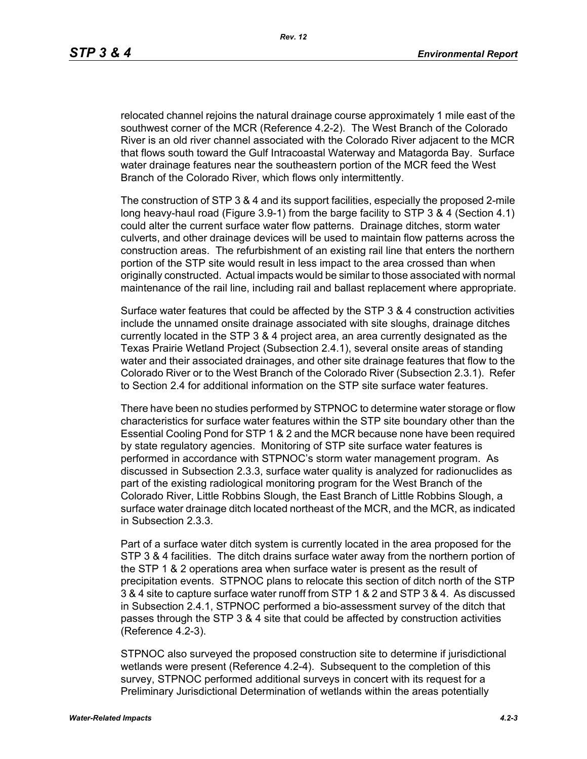relocated channel rejoins the natural drainage course approximately 1 mile east of the southwest corner of the MCR (Reference 4.2-2). The West Branch of the Colorado River is an old river channel associated with the Colorado River adjacent to the MCR that flows south toward the Gulf Intracoastal Waterway and Matagorda Bay. Surface water drainage features near the southeastern portion of the MCR feed the West Branch of the Colorado River, which flows only intermittently.

The construction of STP 3 & 4 and its support facilities, especially the proposed 2-mile long heavy-haul road (Figure 3.9-1) from the barge facility to STP 3 & 4 (Section 4.1) could alter the current surface water flow patterns. Drainage ditches, storm water culverts, and other drainage devices will be used to maintain flow patterns across the construction areas. The refurbishment of an existing rail line that enters the northern portion of the STP site would result in less impact to the area crossed than when originally constructed. Actual impacts would be similar to those associated with normal maintenance of the rail line, including rail and ballast replacement where appropriate.

Surface water features that could be affected by the STP 3 & 4 construction activities include the unnamed onsite drainage associated with site sloughs, drainage ditches currently located in the STP 3 & 4 project area, an area currently designated as the Texas Prairie Wetland Project (Subsection 2.4.1), several onsite areas of standing water and their associated drainages, and other site drainage features that flow to the Colorado River or to the West Branch of the Colorado River (Subsection 2.3.1). Refer to Section 2.4 for additional information on the STP site surface water features.

There have been no studies performed by STPNOC to determine water storage or flow characteristics for surface water features within the STP site boundary other than the Essential Cooling Pond for STP 1 & 2 and the MCR because none have been required by state regulatory agencies. Monitoring of STP site surface water features is performed in accordance with STPNOC's storm water management program. As discussed in Subsection 2.3.3, surface water quality is analyzed for radionuclides as part of the existing radiological monitoring program for the West Branch of the Colorado River, Little Robbins Slough, the East Branch of Little Robbins Slough, a surface water drainage ditch located northeast of the MCR, and the MCR, as indicated in Subsection 2.3.3.

Part of a surface water ditch system is currently located in the area proposed for the STP 3 & 4 facilities. The ditch drains surface water away from the northern portion of the STP 1 & 2 operations area when surface water is present as the result of precipitation events. STPNOC plans to relocate this section of ditch north of the STP 3 & 4 site to capture surface water runoff from STP 1 & 2 and STP 3 & 4. As discussed in Subsection 2.4.1, STPNOC performed a bio-assessment survey of the ditch that passes through the STP 3 & 4 site that could be affected by construction activities (Reference 4.2-3).

STPNOC also surveyed the proposed construction site to determine if jurisdictional wetlands were present (Reference 4.2-4). Subsequent to the completion of this survey, STPNOC performed additional surveys in concert with its request for a Preliminary Jurisdictional Determination of wetlands within the areas potentially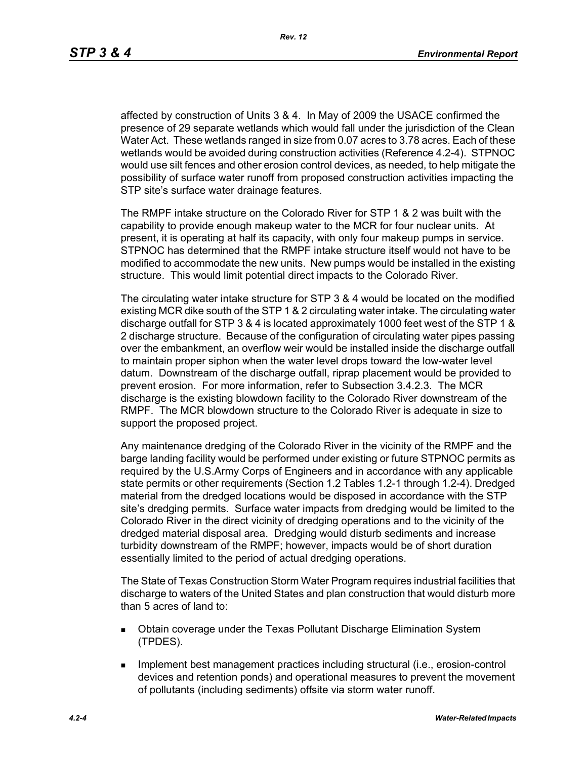affected by construction of Units 3 & 4. In May of 2009 the USACE confirmed the presence of 29 separate wetlands which would fall under the jurisdiction of the Clean Water Act. These wetlands ranged in size from 0.07 acres to 3.78 acres. Each of these wetlands would be avoided during construction activities (Reference 4.2-4). STPNOC would use silt fences and other erosion control devices, as needed, to help mitigate the possibility of surface water runoff from proposed construction activities impacting the STP site's surface water drainage features.

The RMPF intake structure on the Colorado River for STP 1 & 2 was built with the capability to provide enough makeup water to the MCR for four nuclear units. At present, it is operating at half its capacity, with only four makeup pumps in service. STPNOC has determined that the RMPF intake structure itself would not have to be modified to accommodate the new units. New pumps would be installed in the existing structure. This would limit potential direct impacts to the Colorado River.

The circulating water intake structure for STP 3 & 4 would be located on the modified existing MCR dike south of the STP 1 & 2 circulating water intake. The circulating water discharge outfall for STP 3 & 4 is located approximately 1000 feet west of the STP 1 & 2 discharge structure. Because of the configuration of circulating water pipes passing over the embankment, an overflow weir would be installed inside the discharge outfall to maintain proper siphon when the water level drops toward the low-water level datum. Downstream of the discharge outfall, riprap placement would be provided to prevent erosion. For more information, refer to Subsection 3.4.2.3. The MCR discharge is the existing blowdown facility to the Colorado River downstream of the RMPF. The MCR blowdown structure to the Colorado River is adequate in size to support the proposed project.

Any maintenance dredging of the Colorado River in the vicinity of the RMPF and the barge landing facility would be performed under existing or future STPNOC permits as required by the U.S.Army Corps of Engineers and in accordance with any applicable state permits or other requirements (Section 1.2 Tables 1.2-1 through 1.2-4). Dredged material from the dredged locations would be disposed in accordance with the STP site's dredging permits. Surface water impacts from dredging would be limited to the Colorado River in the direct vicinity of dredging operations and to the vicinity of the dredged material disposal area. Dredging would disturb sediments and increase turbidity downstream of the RMPF; however, impacts would be of short duration essentially limited to the period of actual dredging operations.

The State of Texas Construction Storm Water Program requires industrial facilities that discharge to waters of the United States and plan construction that would disturb more than 5 acres of land to:

- Obtain coverage under the Texas Pollutant Discharge Elimination System (TPDES).
- **IMPLEMENT MANAGEMENT EXAMPLE THE IMPLEMENT INCORDIT IN THE IMPLEMENT INCORDENT INCORDIT IN THE IMPLEMENT INCORDIT IN THE IMPLEMENT INCORDENT INCORDITION** devices and retention ponds) and operational measures to prevent the movement of pollutants (including sediments) offsite via storm water runoff.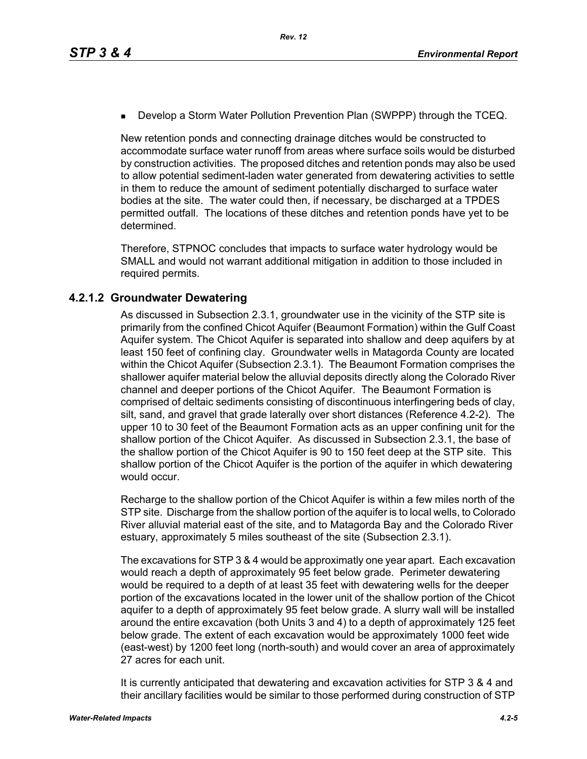**Develop a Storm Water Pollution Prevention Plan (SWPPP) through the TCEQ.** 

New retention ponds and connecting drainage ditches would be constructed to accommodate surface water runoff from areas where surface soils would be disturbed by construction activities. The proposed ditches and retention ponds may also be used to allow potential sediment-laden water generated from dewatering activities to settle in them to reduce the amount of sediment potentially discharged to surface water bodies at the site. The water could then, if necessary, be discharged at a TPDES permitted outfall. The locations of these ditches and retention ponds have yet to be determined.

Therefore, STPNOC concludes that impacts to surface water hydrology would be SMALL and would not warrant additional mitigation in addition to those included in required permits.

# **4.2.1.2 Groundwater Dewatering**

As discussed in Subsection 2.3.1, groundwater use in the vicinity of the STP site is primarily from the confined Chicot Aquifer (Beaumont Formation) within the Gulf Coast Aquifer system. The Chicot Aquifer is separated into shallow and deep aquifers by at least 150 feet of confining clay. Groundwater wells in Matagorda County are located within the Chicot Aquifer (Subsection 2.3.1). The Beaumont Formation comprises the shallower aquifer material below the alluvial deposits directly along the Colorado River channel and deeper portions of the Chicot Aquifer. The Beaumont Formation is comprised of deltaic sediments consisting of discontinuous interfingering beds of clay, silt, sand, and gravel that grade laterally over short distances (Reference 4.2-2). The upper 10 to 30 feet of the Beaumont Formation acts as an upper confining unit for the shallow portion of the Chicot Aquifer. As discussed in Subsection 2.3.1, the base of the shallow portion of the Chicot Aquifer is 90 to 150 feet deep at the STP site. This shallow portion of the Chicot Aquifer is the portion of the aquifer in which dewatering would occur.

Recharge to the shallow portion of the Chicot Aquifer is within a few miles north of the STP site. Discharge from the shallow portion of the aquifer is to local wells, to Colorado River alluvial material east of the site, and to Matagorda Bay and the Colorado River estuary, approximately 5 miles southeast of the site (Subsection 2.3.1).

The excavations for STP 3 & 4 would be approximatly one year apart. Each excavation would reach a depth of approximately 95 feet below grade. Perimeter dewatering would be required to a depth of at least 35 feet with dewatering wells for the deeper portion of the excavations located in the lower unit of the shallow portion of the Chicot aquifer to a depth of approximately 95 feet below grade. A slurry wall will be installed around the entire excavation (both Units 3 and 4) to a depth of approximately 125 feet below grade. The extent of each excavation would be approximately 1000 feet wide (east-west) by 1200 feet long (north-south) and would cover an area of approximately 27 acres for each unit.

It is currently anticipated that dewatering and excavation activities for STP 3 & 4 and their ancillary facilities would be similar to those performed during construction of STP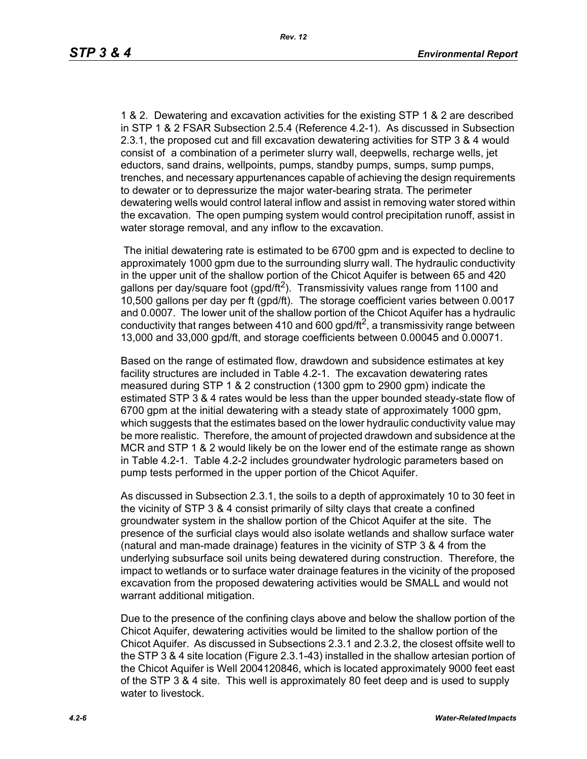1 & 2. Dewatering and excavation activities for the existing STP 1 & 2 are described in STP 1 & 2 FSAR Subsection 2.5.4 (Reference 4.2-1). As discussed in Subsection 2.3.1, the proposed cut and fill excavation dewatering activities for STP 3 & 4 would consist of a combination of a perimeter slurry wall, deepwells, recharge wells, jet eductors, sand drains, wellpoints, pumps, standby pumps, sumps, sump pumps, trenches, and necessary appurtenances capable of achieving the design requirements to dewater or to depressurize the major water-bearing strata. The perimeter dewatering wells would control lateral inflow and assist in removing water stored within the excavation. The open pumping system would control precipitation runoff, assist in water storage removal, and any inflow to the excavation.

 The initial dewatering rate is estimated to be 6700 gpm and is expected to decline to approximately 1000 gpm due to the surrounding slurry wall. The hydraulic conductivity in the upper unit of the shallow portion of the Chicot Aquifer is between 65 and 420 gallons per day/square foot (gpd/ft<sup>2</sup>). Transmissivity values range from 1100 and 10,500 gallons per day per ft (gpd/ft). The storage coefficient varies between 0.0017 and 0.0007. The lower unit of the shallow portion of the Chicot Aquifer has a hydraulic conductivity that ranges between 410 and 600 gpd/ft<sup>2</sup>, a transmissivity range between 13,000 and 33,000 gpd/ft, and storage coefficients between 0.00045 and 0.00071.

Based on the range of estimated flow, drawdown and subsidence estimates at key facility structures are included in Table 4.2-1. The excavation dewatering rates measured during STP 1 & 2 construction (1300 gpm to 2900 gpm) indicate the estimated STP 3 & 4 rates would be less than the upper bounded steady-state flow of 6700 gpm at the initial dewatering with a steady state of approximately 1000 gpm, which suggests that the estimates based on the lower hydraulic conductivity value may be more realistic. Therefore, the amount of projected drawdown and subsidence at the MCR and STP 1 & 2 would likely be on the lower end of the estimate range as shown in Table 4.2-1. Table 4.2-2 includes groundwater hydrologic parameters based on pump tests performed in the upper portion of the Chicot Aquifer.

As discussed in Subsection 2.3.1, the soils to a depth of approximately 10 to 30 feet in the vicinity of STP 3 & 4 consist primarily of silty clays that create a confined groundwater system in the shallow portion of the Chicot Aquifer at the site. The presence of the surficial clays would also isolate wetlands and shallow surface water (natural and man-made drainage) features in the vicinity of STP 3 & 4 from the underlying subsurface soil units being dewatered during construction. Therefore, the impact to wetlands or to surface water drainage features in the vicinity of the proposed excavation from the proposed dewatering activities would be SMALL and would not warrant additional mitigation.

Due to the presence of the confining clays above and below the shallow portion of the Chicot Aquifer, dewatering activities would be limited to the shallow portion of the Chicot Aquifer. As discussed in Subsections 2.3.1 and 2.3.2, the closest offsite well to the STP 3 & 4 site location (Figure 2.3.1-43) installed in the shallow artesian portion of the Chicot Aquifer is Well 2004120846, which is located approximately 9000 feet east of the STP 3 & 4 site. This well is approximately 80 feet deep and is used to supply water to livestock.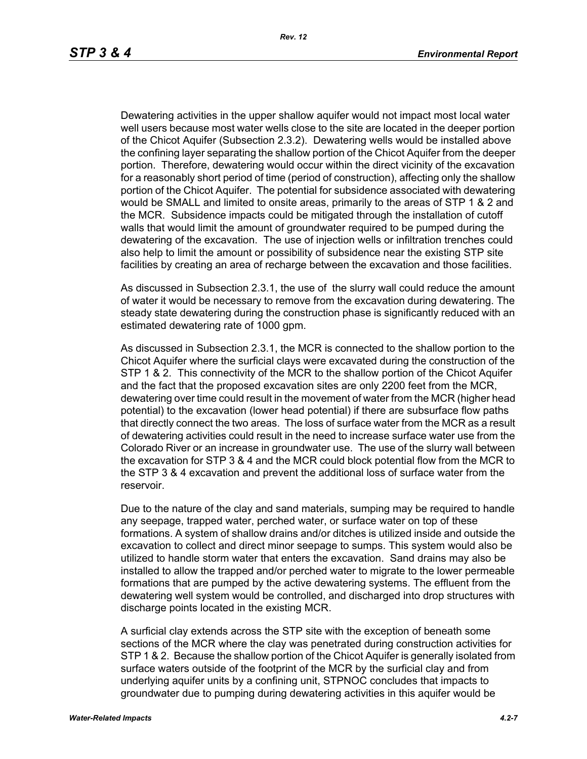Dewatering activities in the upper shallow aquifer would not impact most local water well users because most water wells close to the site are located in the deeper portion of the Chicot Aquifer (Subsection 2.3.2). Dewatering wells would be installed above the confining layer separating the shallow portion of the Chicot Aquifer from the deeper portion. Therefore, dewatering would occur within the direct vicinity of the excavation for a reasonably short period of time (period of construction), affecting only the shallow portion of the Chicot Aquifer. The potential for subsidence associated with dewatering would be SMALL and limited to onsite areas, primarily to the areas of STP 1 & 2 and the MCR. Subsidence impacts could be mitigated through the installation of cutoff walls that would limit the amount of groundwater required to be pumped during the dewatering of the excavation. The use of injection wells or infiltration trenches could also help to limit the amount or possibility of subsidence near the existing STP site facilities by creating an area of recharge between the excavation and those facilities.

As discussed in Subsection 2.3.1, the use of the slurry wall could reduce the amount of water it would be necessary to remove from the excavation during dewatering. The steady state dewatering during the construction phase is significantly reduced with an estimated dewatering rate of 1000 gpm.

As discussed in Subsection 2.3.1, the MCR is connected to the shallow portion to the Chicot Aquifer where the surficial clays were excavated during the construction of the STP 1 & 2. This connectivity of the MCR to the shallow portion of the Chicot Aquifer and the fact that the proposed excavation sites are only 2200 feet from the MCR, dewatering over time could result in the movement of water from the MCR (higher head potential) to the excavation (lower head potential) if there are subsurface flow paths that directly connect the two areas. The loss of surface water from the MCR as a result of dewatering activities could result in the need to increase surface water use from the Colorado River or an increase in groundwater use. The use of the slurry wall between the excavation for STP 3 & 4 and the MCR could block potential flow from the MCR to the STP 3 & 4 excavation and prevent the additional loss of surface water from the reservoir.

Due to the nature of the clay and sand materials, sumping may be required to handle any seepage, trapped water, perched water, or surface water on top of these formations. A system of shallow drains and/or ditches is utilized inside and outside the excavation to collect and direct minor seepage to sumps. This system would also be utilized to handle storm water that enters the excavation. Sand drains may also be installed to allow the trapped and/or perched water to migrate to the lower permeable formations that are pumped by the active dewatering systems. The effluent from the dewatering well system would be controlled, and discharged into drop structures with discharge points located in the existing MCR.

A surficial clay extends across the STP site with the exception of beneath some sections of the MCR where the clay was penetrated during construction activities for STP 1 & 2. Because the shallow portion of the Chicot Aquifer is generally isolated from surface waters outside of the footprint of the MCR by the surficial clay and from underlying aquifer units by a confining unit, STPNOC concludes that impacts to groundwater due to pumping during dewatering activities in this aquifer would be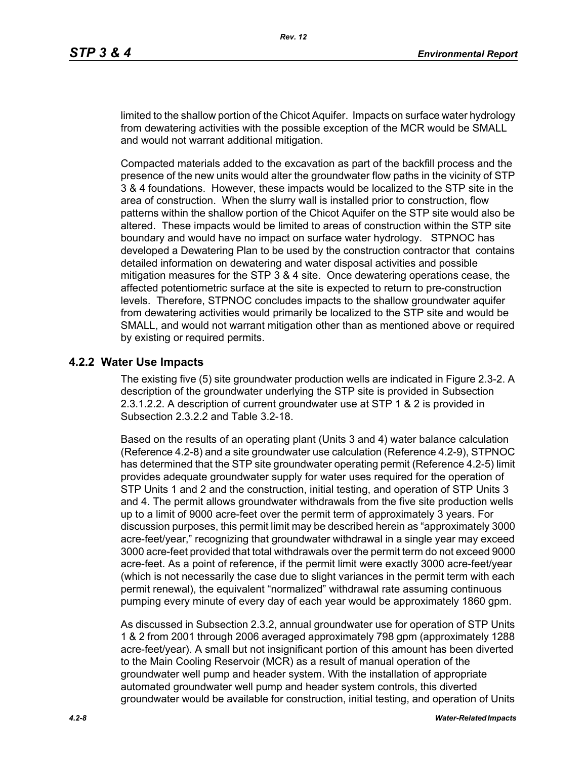limited to the shallow portion of the Chicot Aquifer. Impacts on surface water hydrology from dewatering activities with the possible exception of the MCR would be SMALL and would not warrant additional mitigation.

Compacted materials added to the excavation as part of the backfill process and the presence of the new units would alter the groundwater flow paths in the vicinity of STP 3 & 4 foundations. However, these impacts would be localized to the STP site in the area of construction. When the slurry wall is installed prior to construction, flow patterns within the shallow portion of the Chicot Aquifer on the STP site would also be altered. These impacts would be limited to areas of construction within the STP site boundary and would have no impact on surface water hydrology. STPNOC has developed a Dewatering Plan to be used by the construction contractor that contains detailed information on dewatering and water disposal activities and possible mitigation measures for the STP 3 & 4 site. Once dewatering operations cease, the affected potentiometric surface at the site is expected to return to pre-construction levels. Therefore, STPNOC concludes impacts to the shallow groundwater aquifer from dewatering activities would primarily be localized to the STP site and would be SMALL, and would not warrant mitigation other than as mentioned above or required by existing or required permits.

#### **4.2.2 Water Use Impacts**

The existing five (5) site groundwater production wells are indicated in Figure 2.3-2. A description of the groundwater underlying the STP site is provided in Subsection 2.3.1.2.2. A description of current groundwater use at STP 1 & 2 is provided in Subsection 2.3.2.2 and Table 3.2-18.

Based on the results of an operating plant (Units 3 and 4) water balance calculation (Reference 4.2-8) and a site groundwater use calculation (Reference 4.2-9), STPNOC has determined that the STP site groundwater operating permit (Reference 4.2-5) limit provides adequate groundwater supply for water uses required for the operation of STP Units 1 and 2 and the construction, initial testing, and operation of STP Units 3 and 4. The permit allows groundwater withdrawals from the five site production wells up to a limit of 9000 acre-feet over the permit term of approximately 3 years. For discussion purposes, this permit limit may be described herein as "approximately 3000 acre-feet/year," recognizing that groundwater withdrawal in a single year may exceed 3000 acre-feet provided that total withdrawals over the permit term do not exceed 9000 acre-feet. As a point of reference, if the permit limit were exactly 3000 acre-feet/year (which is not necessarily the case due to slight variances in the permit term with each permit renewal), the equivalent "normalized" withdrawal rate assuming continuous pumping every minute of every day of each year would be approximately 1860 gpm.

As discussed in Subsection 2.3.2, annual groundwater use for operation of STP Units 1 & 2 from 2001 through 2006 averaged approximately 798 gpm (approximately 1288 acre-feet/year). A small but not insignificant portion of this amount has been diverted to the Main Cooling Reservoir (MCR) as a result of manual operation of the groundwater well pump and header system. With the installation of appropriate automated groundwater well pump and header system controls, this diverted groundwater would be available for construction, initial testing, and operation of Units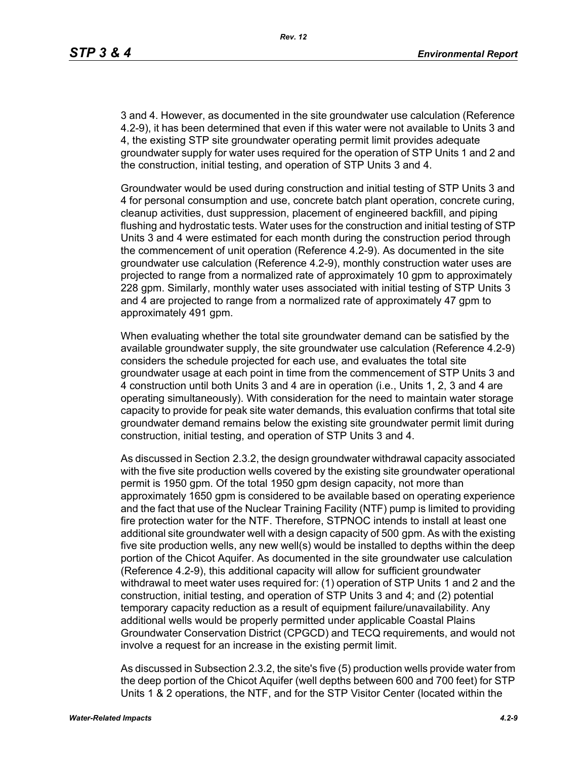3 and 4. However, as documented in the site groundwater use calculation (Reference 4.2-9), it has been determined that even if this water were not available to Units 3 and 4, the existing STP site groundwater operating permit limit provides adequate groundwater supply for water uses required for the operation of STP Units 1 and 2 and the construction, initial testing, and operation of STP Units 3 and 4.

Groundwater would be used during construction and initial testing of STP Units 3 and 4 for personal consumption and use, concrete batch plant operation, concrete curing, cleanup activities, dust suppression, placement of engineered backfill, and piping flushing and hydrostatic tests. Water uses for the construction and initial testing of STP Units 3 and 4 were estimated for each month during the construction period through the commencement of unit operation (Reference 4.2-9). As documented in the site groundwater use calculation (Reference 4.2-9), monthly construction water uses are projected to range from a normalized rate of approximately 10 gpm to approximately 228 gpm. Similarly, monthly water uses associated with initial testing of STP Units 3 and 4 are projected to range from a normalized rate of approximately 47 gpm to approximately 491 gpm.

When evaluating whether the total site groundwater demand can be satisfied by the available groundwater supply, the site groundwater use calculation (Reference 4.2-9) considers the schedule projected for each use, and evaluates the total site groundwater usage at each point in time from the commencement of STP Units 3 and 4 construction until both Units 3 and 4 are in operation (i.e., Units 1, 2, 3 and 4 are operating simultaneously). With consideration for the need to maintain water storage capacity to provide for peak site water demands, this evaluation confirms that total site groundwater demand remains below the existing site groundwater permit limit during construction, initial testing, and operation of STP Units 3 and 4.

As discussed in Section 2.3.2, the design groundwater withdrawal capacity associated with the five site production wells covered by the existing site groundwater operational permit is 1950 gpm. Of the total 1950 gpm design capacity, not more than approximately 1650 gpm is considered to be available based on operating experience and the fact that use of the Nuclear Training Facility (NTF) pump is limited to providing fire protection water for the NTF. Therefore, STPNOC intends to install at least one additional site groundwater well with a design capacity of 500 gpm. As with the existing five site production wells, any new well(s) would be installed to depths within the deep portion of the Chicot Aquifer. As documented in the site groundwater use calculation (Reference 4.2-9), this additional capacity will allow for sufficient groundwater withdrawal to meet water uses required for: (1) operation of STP Units 1 and 2 and the construction, initial testing, and operation of STP Units 3 and 4; and (2) potential temporary capacity reduction as a result of equipment failure/unavailability. Any additional wells would be properly permitted under applicable Coastal Plains Groundwater Conservation District (CPGCD) and TECQ requirements, and would not involve a request for an increase in the existing permit limit.

As discussed in Subsection 2.3.2, the site's five (5) production wells provide water from the deep portion of the Chicot Aquifer (well depths between 600 and 700 feet) for STP Units 1 & 2 operations, the NTF, and for the STP Visitor Center (located within the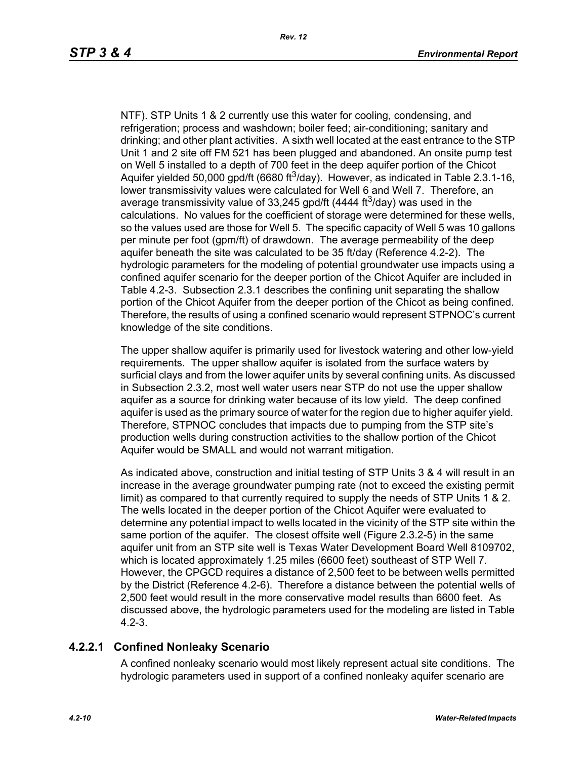NTF). STP Units 1 & 2 currently use this water for cooling, condensing, and refrigeration; process and washdown; boiler feed; air-conditioning; sanitary and drinking; and other plant activities. A sixth well located at the east entrance to the STP Unit 1 and 2 site off FM 521 has been plugged and abandoned. An onsite pump test on Well 5 installed to a depth of 700 feet in the deep aquifer portion of the Chicot Aquifer yielded 50,000 gpd/ft (6680 ft<sup>3</sup>/day). However, as indicated in Table 2.3.1-16, lower transmissivity values were calculated for Well 6 and Well 7. Therefore, an average transmissivity value of 33,245 gpd/ft (4444 ft<sup>3</sup>/day) was used in the calculations. No values for the coefficient of storage were determined for these wells, so the values used are those for Well 5. The specific capacity of Well 5 was 10 gallons per minute per foot (gpm/ft) of drawdown. The average permeability of the deep aquifer beneath the site was calculated to be 35 ft/day (Reference 4.2-2). The hydrologic parameters for the modeling of potential groundwater use impacts using a confined aquifer scenario for the deeper portion of the Chicot Aquifer are included in Table 4.2-3. Subsection 2.3.1 describes the confining unit separating the shallow portion of the Chicot Aquifer from the deeper portion of the Chicot as being confined. Therefore, the results of using a confined scenario would represent STPNOC's current knowledge of the site conditions.

The upper shallow aquifer is primarily used for livestock watering and other low-yield requirements. The upper shallow aquifer is isolated from the surface waters by surficial clays and from the lower aquifer units by several confining units. As discussed in Subsection 2.3.2, most well water users near STP do not use the upper shallow aquifer as a source for drinking water because of its low yield. The deep confined aquifer is used as the primary source of water for the region due to higher aquifer yield. Therefore, STPNOC concludes that impacts due to pumping from the STP site's production wells during construction activities to the shallow portion of the Chicot Aquifer would be SMALL and would not warrant mitigation.

As indicated above, construction and initial testing of STP Units 3 & 4 will result in an increase in the average groundwater pumping rate (not to exceed the existing permit limit) as compared to that currently required to supply the needs of STP Units 1 & 2. The wells located in the deeper portion of the Chicot Aquifer were evaluated to determine any potential impact to wells located in the vicinity of the STP site within the same portion of the aquifer. The closest offsite well (Figure 2.3.2-5) in the same aquifer unit from an STP site well is Texas Water Development Board Well 8109702, which is located approximately 1.25 miles (6600 feet) southeast of STP Well 7. However, the CPGCD requires a distance of 2,500 feet to be between wells permitted by the District (Reference 4.2-6). Therefore a distance between the potential wells of 2,500 feet would result in the more conservative model results than 6600 feet. As discussed above, the hydrologic parameters used for the modeling are listed in Table 4.2-3.

# **4.2.2.1 Confined Nonleaky Scenario**

A confined nonleaky scenario would most likely represent actual site conditions. The hydrologic parameters used in support of a confined nonleaky aquifer scenario are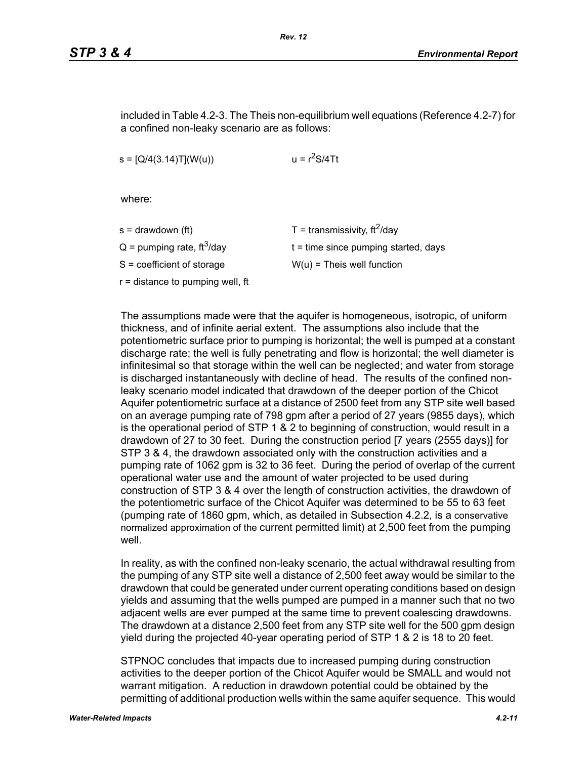included in Table 4.2-3. The Theis non-equilibrium well equations (Reference 4.2-7) for a confined non-leaky scenario are as follows:

 $s = [Q/4(3.14)T](W(u))$   $u = r<sup>2</sup>S/4Tt$ 

where:

| s = drawdown (ft)                        | T = transmissivity, $\text{ft}^2/\text{day}$ |
|------------------------------------------|----------------------------------------------|
| $Q =$ pumping rate, ft <sup>3</sup> /day | $t =$ time since pumping started, days       |
| S = coefficient of storage               | $W(u)$ = Theis well function                 |
| r = distance to pumping well, ft         |                                              |
|                                          |                                              |

The assumptions made were that the aquifer is homogeneous, isotropic, of uniform thickness, and of infinite aerial extent. The assumptions also include that the potentiometric surface prior to pumping is horizontal; the well is pumped at a constant discharge rate; the well is fully penetrating and flow is horizontal; the well diameter is infinitesimal so that storage within the well can be neglected; and water from storage is discharged instantaneously with decline of head. The results of the confined nonleaky scenario model indicated that drawdown of the deeper portion of the Chicot Aquifer potentiometric surface at a distance of 2500 feet from any STP site well based on an average pumping rate of 798 gpm after a period of 27 years (9855 days), which is the operational period of STP 1 & 2 to beginning of construction, would result in a drawdown of 27 to 30 feet. During the construction period [7 years (2555 days)] for STP 3 & 4, the drawdown associated only with the construction activities and a pumping rate of 1062 gpm is 32 to 36 feet. During the period of overlap of the current operational water use and the amount of water projected to be used during construction of STP 3 & 4 over the length of construction activities, the drawdown of the potentiometric surface of the Chicot Aquifer was determined to be 55 to 63 feet (pumping rate of 1860 gpm, which, as detailed in Subsection 4.2.2, is a conservative normalized approximation of the current permitted limit) at 2,500 feet from the pumping well

In reality, as with the confined non-leaky scenario, the actual withdrawal resulting from the pumping of any STP site well a distance of 2,500 feet away would be similar to the drawdown that could be generated under current operating conditions based on design yields and assuming that the wells pumped are pumped in a manner such that no two adjacent wells are ever pumped at the same time to prevent coalescing drawdowns. The drawdown at a distance 2,500 feet from any STP site well for the 500 gpm design yield during the projected 40-year operating period of STP 1 & 2 is 18 to 20 feet.

STPNOC concludes that impacts due to increased pumping during construction activities to the deeper portion of the Chicot Aquifer would be SMALL and would not warrant mitigation. A reduction in drawdown potential could be obtained by the permitting of additional production wells within the same aquifer sequence. This would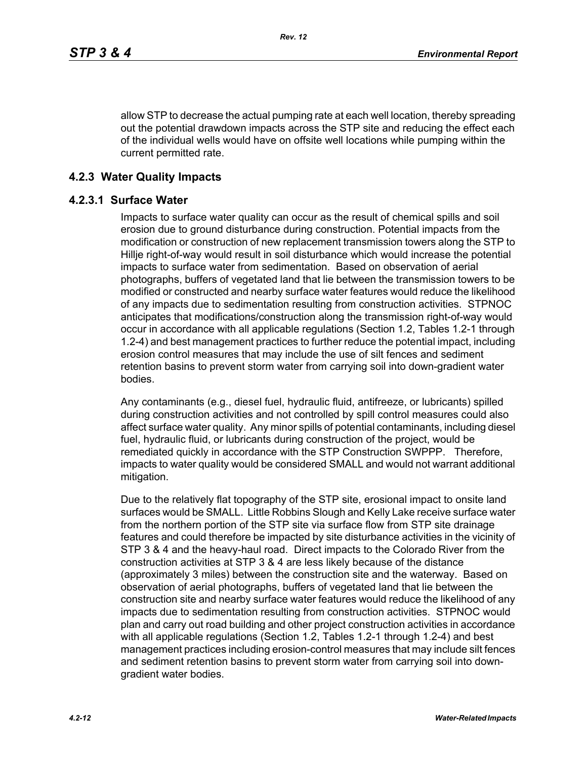allow STP to decrease the actual pumping rate at each well location, thereby spreading out the potential drawdown impacts across the STP site and reducing the effect each of the individual wells would have on offsite well locations while pumping within the current permitted rate.

### **4.2.3 Water Quality Impacts**

#### **4.2.3.1 Surface Water**

Impacts to surface water quality can occur as the result of chemical spills and soil erosion due to ground disturbance during construction. Potential impacts from the modification or construction of new replacement transmission towers along the STP to Hillje right-of-way would result in soil disturbance which would increase the potential impacts to surface water from sedimentation. Based on observation of aerial photographs, buffers of vegetated land that lie between the transmission towers to be modified or constructed and nearby surface water features would reduce the likelihood of any impacts due to sedimentation resulting from construction activities. STPNOC anticipates that modifications/construction along the transmission right-of-way would occur in accordance with all applicable regulations (Section 1.2, Tables 1.2-1 through 1.2-4) and best management practices to further reduce the potential impact, including erosion control measures that may include the use of silt fences and sediment retention basins to prevent storm water from carrying soil into down-gradient water bodies.

Any contaminants (e.g., diesel fuel, hydraulic fluid, antifreeze, or lubricants) spilled during construction activities and not controlled by spill control measures could also affect surface water quality. Any minor spills of potential contaminants, including diesel fuel, hydraulic fluid, or lubricants during construction of the project, would be remediated quickly in accordance with the STP Construction SWPPP. Therefore, impacts to water quality would be considered SMALL and would not warrant additional mitigation.

Due to the relatively flat topography of the STP site, erosional impact to onsite land surfaces would be SMALL. Little Robbins Slough and Kelly Lake receive surface water from the northern portion of the STP site via surface flow from STP site drainage features and could therefore be impacted by site disturbance activities in the vicinity of STP 3 & 4 and the heavy-haul road. Direct impacts to the Colorado River from the construction activities at STP 3 & 4 are less likely because of the distance (approximately 3 miles) between the construction site and the waterway. Based on observation of aerial photographs, buffers of vegetated land that lie between the construction site and nearby surface water features would reduce the likelihood of any impacts due to sedimentation resulting from construction activities. STPNOC would plan and carry out road building and other project construction activities in accordance with all applicable regulations (Section 1.2, Tables 1.2-1 through 1.2-4) and best management practices including erosion-control measures that may include silt fences and sediment retention basins to prevent storm water from carrying soil into downgradient water bodies.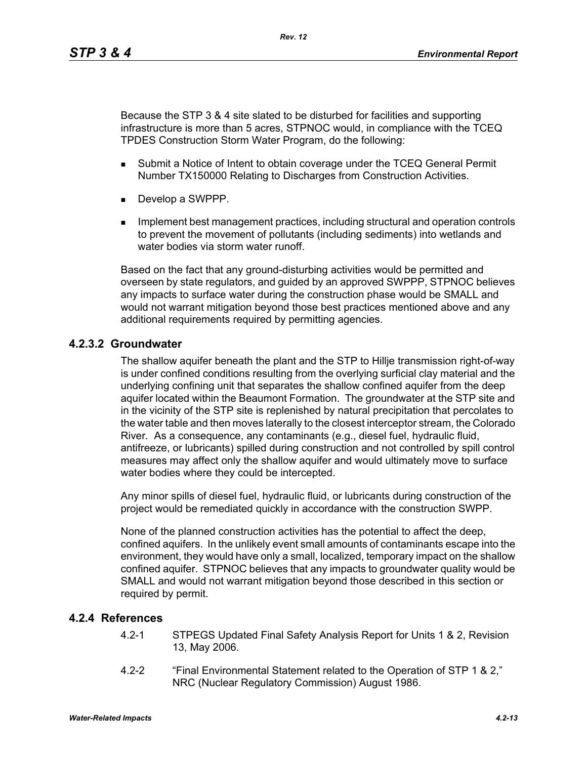Because the STP 3 & 4 site slated to be disturbed for facilities and supporting infrastructure is more than 5 acres, STPNOC would, in compliance with the TCEQ TPDES Construction Storm Water Program, do the following:

- **Submit a Notice of Intent to obtain coverage under the TCEQ General Permit** Number TX150000 Relating to Discharges from Construction Activities.
- Develop a SWPPP.
- **IMPLEMENT MANAGEMENT MANAGEMENT CONTROLLER** Including structural and operation controls to prevent the movement of pollutants (including sediments) into wetlands and water bodies via storm water runoff

Based on the fact that any ground-disturbing activities would be permitted and overseen by state regulators, and guided by an approved SWPPP, STPNOC believes any impacts to surface water during the construction phase would be SMALL and would not warrant mitigation beyond those best practices mentioned above and any additional requirements required by permitting agencies.

## **4.2.3.2 Groundwater**

The shallow aquifer beneath the plant and the STP to Hillje transmission right-of-way is under confined conditions resulting from the overlying surficial clay material and the underlying confining unit that separates the shallow confined aquifer from the deep aquifer located within the Beaumont Formation. The groundwater at the STP site and in the vicinity of the STP site is replenished by natural precipitation that percolates to the water table and then moves laterally to the closest interceptor stream, the Colorado River. As a consequence, any contaminants (e.g., diesel fuel, hydraulic fluid, antifreeze, or lubricants) spilled during construction and not controlled by spill control measures may affect only the shallow aquifer and would ultimately move to surface water bodies where they could be intercepted.

Any minor spills of diesel fuel, hydraulic fluid, or lubricants during construction of the project would be remediated quickly in accordance with the construction SWPP.

None of the planned construction activities has the potential to affect the deep, confined aquifers. In the unlikely event small amounts of contaminants escape into the environment, they would have only a small, localized, temporary impact on the shallow confined aquifer. STPNOC believes that any impacts to groundwater quality would be SMALL and would not warrant mitigation beyond those described in this section or required by permit.

#### **4.2.4 References**

- 4.2-1 STPEGS Updated Final Safety Analysis Report for Units 1 & 2, Revision 13, May 2006.
- 4.2-2 "Final Environmental Statement related to the Operation of STP 1 & 2," NRC (Nuclear Regulatory Commission) August 1986.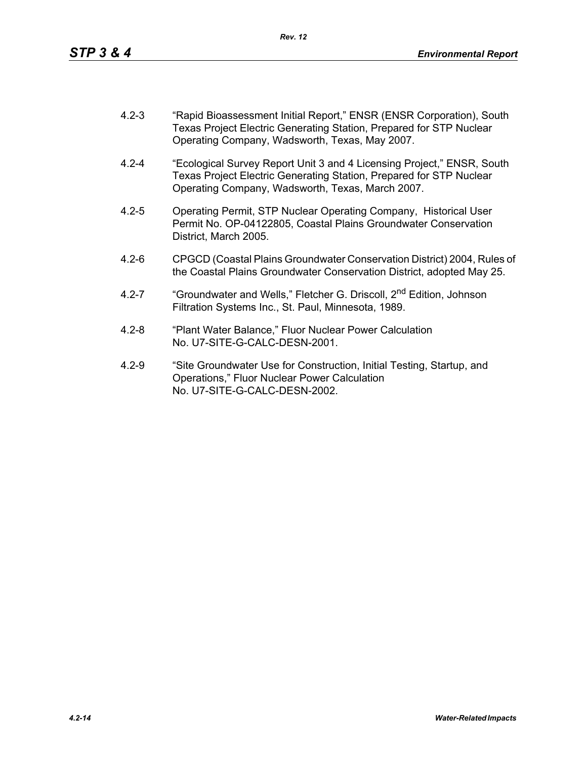- 4.2-3 "Rapid Bioassessment Initial Report," ENSR (ENSR Corporation), South Texas Project Electric Generating Station, Prepared for STP Nuclear Operating Company, Wadsworth, Texas, May 2007.
- 4.2-4 "Ecological Survey Report Unit 3 and 4 Licensing Project," ENSR, South Texas Project Electric Generating Station, Prepared for STP Nuclear Operating Company, Wadsworth, Texas, March 2007.
- 4.2-5 Operating Permit, STP Nuclear Operating Company, Historical User Permit No. OP-04122805, Coastal Plains Groundwater Conservation District, March 2005.
- 4.2-6 CPGCD (Coastal Plains Groundwater Conservation District) 2004, Rules of the Coastal Plains Groundwater Conservation District, adopted May 25.
- 4.2-7 "Groundwater and Wells," Fletcher G. Driscoll, 2<sup>nd</sup> Edition, Johnson Filtration Systems Inc., St. Paul, Minnesota, 1989.
- 4.2-8 "Plant Water Balance," Fluor Nuclear Power Calculation No. U7-SITE-G-CALC-DESN-2001.
- 4.2-9 "Site Groundwater Use for Construction, Initial Testing, Startup, and Operations," Fluor Nuclear Power Calculation No. U7-SITE-G-CALC-DESN-2002.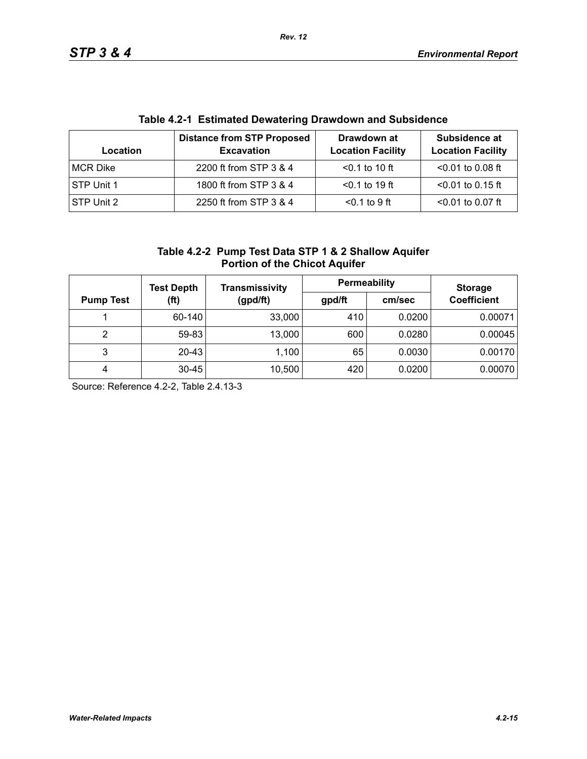| Table 4.2-1 EStimated Dewatering Drawdown and Subsidence |                                                        |                                         |                                           |  |  |
|----------------------------------------------------------|--------------------------------------------------------|-----------------------------------------|-------------------------------------------|--|--|
| Location                                                 | <b>Distance from STP Proposed</b><br><b>Excavation</b> | Drawdown at<br><b>Location Facility</b> | Subsidence at<br><b>Location Facility</b> |  |  |
| MCR Dike                                                 | 2200 ft from STP 3 & 4                                 | $< 0.1$ to 10 ft                        | $< 0.01$ to 0.08 ft                       |  |  |
| STP Unit 1                                               | 1800 ft from STP 3 & 4                                 | $< 0.1$ to 19 ft                        | $<$ 0.01 to 0.15 ft                       |  |  |
| <b>STP Unit 2</b>                                        | 2250 ft from STP 3 & 4                                 | $0.1$ to 9 ft                           | $< 0.01$ to 0.07 ft                       |  |  |

# **Table 4.2-1 Estimated Dewatering Drawdown and Subsidence**

| Table 4.2-2 Pump Test Data STP 1 & 2 Shallow Aquifer |
|------------------------------------------------------|
| <b>Portion of the Chicot Aquifer</b>                 |

|                  | <b>Test Depth</b><br>(ft) | <b>Transmissivity</b> | Permeability | <b>Storage</b> |                    |
|------------------|---------------------------|-----------------------|--------------|----------------|--------------------|
| <b>Pump Test</b> |                           | (gpd/ft)              | gpd/ft       | cm/sec         | <b>Coefficient</b> |
|                  | 60-140                    | 33,000                | 410          | 0.0200         | 0.00071            |
| 2                | 59-83                     | 13,000                | 600          | 0.0280         | 0.00045            |
| 3                | 20-43                     | 1,100                 | 65           | 0.0030         | 0.00170            |
| 4                | $30 - 45$                 | 10,500                | 420          | 0.0200         | 0.00070            |

Source: Reference 4.2-2, Table 2.4.13-3